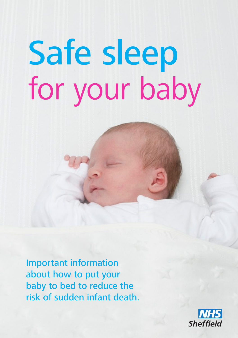# Safe sleep for your baby

Important information about how to put your baby to bed to reduce the risk of sudden infant death.

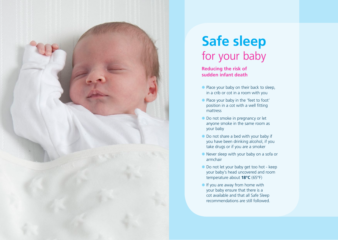

# **Safe sleep**  for your baby

**Reducing the risk of sudden infant death** 

- Place your baby on their back to sleep, in a crib or cot in a room with you
- Place your baby in the 'feet to foot' position in a cot with a well fitting mattress
- $\bullet$  **Do not smoke in pregnancy or let** anyone smoke in the same room as your baby
- $\bullet$  Do not share a bed with your baby if you have been drinking alcohol, if you take drugs or if you are a smoker
- $*$  Never sleep with your baby on a sofa or armchair
- $*$  Do not let your baby get too hot keep your baby's head uncovered and room temperature about **18°C** (65°F)
- $\cdot$  If you are away from home with your baby ensure that there is a cot available and that all Safe Sleep recommendations are still followed.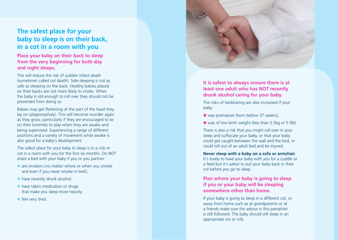### **The safest place for your baby to sleep is on their back, in a cot in a room with you**

#### **Place your baby on their back to sleep from the very beginning for both day and night sleeps.**

This will reduce the risk of sudden infant death (sometimes called cot death). Side sleeping is not as safe as sleeping on the back. Healthy babies placed on their backs are not more likely to choke. When the baby is old enough to roll over they should not be prevented from doing so.

Babies may get flattening of the part of the head they lay on (plagiocephaly). This will become rounder again as they grow, particularly if they are encouraged to lie on their tummies to play when they are awake and being supervised. Experiencing a range of different positions and a variety of movement while awake is also good for a baby's development.

The safest place for your baby to sleep is in a crib or cot in a room with you for the first six months. Do NOT share a bed with your baby if you or you partner:

- $*$  are smokers (no matter where or when you smoke and even if you never smoke in bed);
- $*$  have recently drunk alcohol;
- $*$  have taken medication or drugs that make you sleep more heavily;
- **\*** feel very tired.



#### **It is safest to always ensure there is at least one adult who has NOT recently drunk alcohol caring for your baby.**

The risks of bedsharing are also increased if your baby:

- $*$  was premature (born before 37 weeks);
- $*$  was of low birth weight (less than 2.5kg or 5.5lb)

There is also a risk that you might roll over in your sleep and suffocate your baby, or that your baby could get caught between the wall and the bed, or could roll out of an adult bed and be injured.

**Never sleep with a baby on a sofa or armchair** . It's lovely to have your baby with you for a cuddle or a feed but it's safest to put your baby back in their cot before you go to sleep.

#### **Plan where your baby is going to sleep if you or your baby will be sleeping somewhere other than home.**

If your baby is going to sleep in a different cot, or away from home such as at grandparents or at a friends make sure the advice in this pamphlet is still followed. The baby should still sleep in an appropriate cot or crib.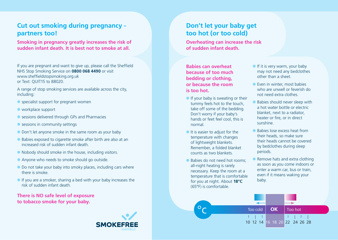# **Cut out smoking during pregnancy partners too!**

**Smoking in pregnancy greatly increases the risk of sudden infant death. It is best not to smoke at all.**

If you are pregnant and want to give up, please call the Sheffield NHS Stop Smoking Service on **0800 068 4490** or visit www.sheffieldstopsmoking.org.uk or Text: QUIT15 to 88020.

A range of stop smoking services are available across the city, including:

- $*$  specialist support for pregnant women
- $*$  workplace support
- $*$  sessions delivered through GPs and Pharmacies
- $*$  sessions in community settings
- $\bullet$  Don't let anyone smoke in the same room as your baby
- $*$  Babies exposed to cigarette smoke after birth are also at an increased risk of sudden infant death.
- $*$  Nobody should smoke in the house, including visitors.
- \* Anyone who needs to smoke should go outside.
- $\bullet$  Do not take your baby into smoky places, including cars where there is smoke.
- $\cdot$  If you are a smoker, sharing a bed with your baby increases the risk of sudden infant death.

**There is NO safe level of exposure to tobacco smoke for your baby.**



# **Don't let your baby get too hot (or too cold)**

**Overheating can increase the risk of sudden infant death.** 

**Babies can overheat because of too much bedding or clothing, or because the room is too hot.**

- $\cdot$  If your baby is sweating or their tummy feels hot to the touch, take off some of the bedding. Don't worry if your baby's hands or feet feel cool, this is normal.
- $*$  It is easier to adjust for the temperature with changes of lightweight blankets. Remember, a folded blanket counts as two blankets.
- $\triangleq$  Babies do not need hot rooms; all-night heating is rarely necessary. Keep the room at a temperature that is comfortable for you at night. About **18°C** (65°F) is comfortable.

°c

- $\cdot$  If it is very warm, your baby may not need any bedclothes other than a sheet.
- $*$  Even in winter, most babies who are unwell or feverish do not need extra clothes.
- Babies should never sleep with a hot water bottle or electric blanket, next to a radiator, heater or fire, or in direct sunshine.
- Babies lose excess heat from their heads, so make sure their heads cannot be covered by bedclothes during sleep periods.
- Remove hats and extra clothing as soon as you come indoors or enter a warm car, bus or train, even if it means waking your baby.

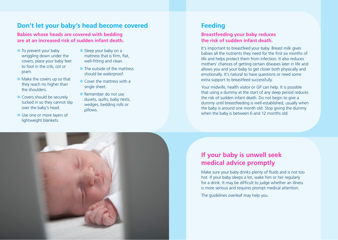# **Don't let your baby's head become covered**

**Babies whose heads are covered with bedding are at an increased risk of sudden infant death.** 

- $\bullet$  To prevent your baby wriggling down under the covers, place your baby feet to foot in the crib, cot or pram.
- $*$  Make the covers up so that they reach no higher than the shoulders.
- $\triangleq$  Covers should be securely tucked in so they cannot slip over the baby's head.
- Use one or more layers of lightweight blankets.
- $\bullet$  Sleep your baby on a mattress that is firm, flat, well-fitting and clean.
- $*$  The outside of the mattress should be waterproof.
- $\triangleq$  Cover the mattress with a single sheet.
- $\blacktriangleright$  Remember do not use duvets, quilts, baby nests, wedges, bedding rolls or pillows.

#### **Feeding**

#### **Breastfeeding your baby reduces the risk of sudden infant death.**

It's important to breastfeed your baby. Breast milk gives babies all the nutrients they need for the first six months of life and helps protect them from infection. It also reduces mothers' chances of getting certain diseases later in life and allows you and your baby to get closer both physically and emotionally. It's natural to have questions or need some extra support to breastfeed successfully.

Your midwife, health visitor or GP can help. It is possible that using a dummy at the start of any sleep period reduces the risk of sudden infant death. Do not begin to give a dummy until breastfeeding is well-established, usually when the baby is around one month old. Stop giving the dummy when the baby is between 6 and 12 months old.

# **If your baby is unwell seek medical advice promptly**

Make sure your baby drinks plenty of fluids and is not too hot. If your baby sleeps a lot, wake him or her regularly for a drink. It may be difficult to judge whether an illness is more serious and requires prompt medical attention.

The guidelines overleaf may help you.

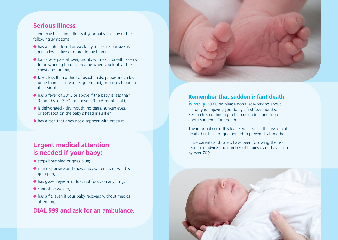#### **Serious Illness**

There may be serious illness if your baby has any of the following symptoms:

- $*$  has a high pitched or weak cry, is less responsive, is much less active or more floppy than usual;
- $*$  looks very pale all over, grunts with each breath, seems to be working hard to breathe when you look at their chest and tummy;
- $*$  takes less than a third of usual fluids, passes much less urine than usual, vomits green fluid, or passes blood in their stools;
- $*$  has a fever of 38°C or above if the baby is less than 3 months, or 39ºC or above if 3 to 6 months old;
- $*$  is dehydrated dry mouth, no tears, sunken eyes, or soft spot on the baby's head is sunken;
- $*$  has a rash that does not disappear with pressure.

#### **Urgent medical attention is needed if your baby:**

- **\*** stops breathing or goes blue;
- $*$  is unresponsive and shows no awareness of what is going on;
- $*$  has glazed eyes and does not focus on anything;
- $*$  cannot be woken:
- $*$  has a fit, even if your baby recovers without medical attention;

#### **DIAL 999 and ask for an ambulance.**



#### **Remember that sudden infant death**

**is very rare** so please don't let worrying about it stop you enjoying your baby's first few months. Research is continuing to help us understand more about sudden infant death.

The information in this leaflet will reduce the risk of cot death, but it is not guaranteed to prevent it altogether.

Since parents and carers have been following the risk reduction advice, the number of babies dying has fallen by over 70%.